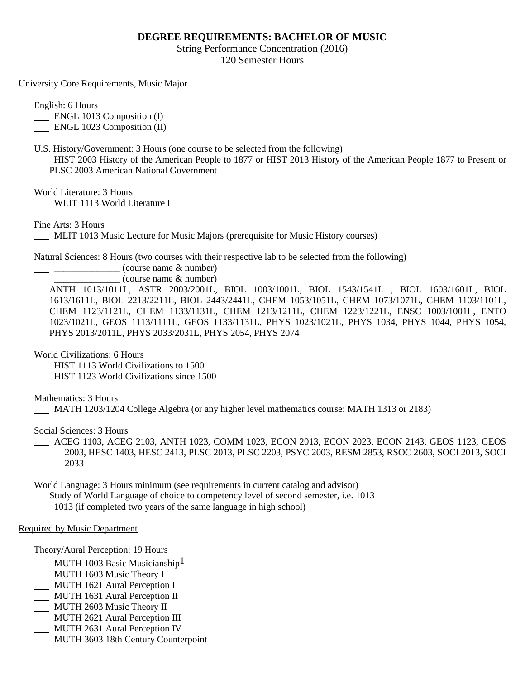## **DEGREE REQUIREMENTS: BACHELOR OF MUSIC**

String Performance Concentration (2016) 120 Semester Hours

University Core Requirements, Music Major

English: 6 Hours

**ENGL 1013 Composition (I)** 

ENGL 1023 Composition (II)

U.S. History/Government: 3 Hours (one course to be selected from the following)

 HIST 2003 History of the American People to 1877 or HIST 2013 History of the American People 1877 to Present or PLSC 2003 American National Government

World Literature: 3 Hours

WLIT 1113 World Literature I

Fine Arts: 3 Hours

MLIT 1013 Music Lecture for Music Majors (prerequisite for Music History courses)

Natural Sciences: 8 Hours (two courses with their respective lab to be selected from the following)

 $\frac{1}{2}$   $\frac{1}{2}$   $\frac{1}{2}$   $\frac{1}{2}$   $\frac{1}{2}$   $\frac{1}{2}$   $\frac{1}{2}$   $\frac{1}{2}$   $\frac{1}{2}$   $\frac{1}{2}$   $\frac{1}{2}$   $\frac{1}{2}$   $\frac{1}{2}$   $\frac{1}{2}$   $\frac{1}{2}$   $\frac{1}{2}$   $\frac{1}{2}$   $\frac{1}{2}$   $\frac{1}{2}$   $\frac{1}{2}$   $\frac{1}{2}$   $\frac{1}{2}$ 

 $(course name & number)$ 

ANTH 1013/1011L, ASTR 2003/2001L, BIOL 1003/1001L, BIOL 1543/1541L , BIOL 1603/1601L, BIOL 1613/1611L, BIOL 2213/2211L, BIOL 2443/2441L, CHEM 1053/1051L, CHEM 1073/1071L, CHEM 1103/1101L, CHEM 1123/1121L, CHEM 1133/1131L, CHEM 1213/1211L, CHEM 1223/1221L, ENSC 1003/1001L, ENTO 1023/1021L, GEOS 1113/1111L, GEOS 1133/1131L, PHYS 1023/1021L, PHYS 1034, PHYS 1044, PHYS 1054, PHYS 2013/2011L, PHYS 2033/2031L, PHYS 2054, PHYS 2074

World Civilizations: 6 Hours

HIST 1113 World Civilizations to 1500

HIST 1123 World Civilizations since 1500

Mathematics: 3 Hours

MATH 1203/1204 College Algebra (or any higher level mathematics course: MATH 1313 or 2183)

Social Sciences: 3 Hours

 ACEG 1103, ACEG 2103, ANTH 1023, COMM 1023, ECON 2013, ECON 2023, ECON 2143, GEOS 1123, GEOS 2003, HESC 1403, HESC 2413, PLSC 2013, PLSC 2203, PSYC 2003, RESM 2853, RSOC 2603, SOCI 2013, SOCI 2033

World Language: 3 Hours minimum (see requirements in current catalog and advisor)

Study of World Language of choice to competency level of second semester, i.e. 1013

1013 (if completed two years of the same language in high school)

Required by Music Department

Theory/Aural Perception: 19 Hours

- MUTH 1003 Basic Musicianship<sup>1</sup>
- MUTH 1603 Music Theory I
- MUTH 1621 Aural Perception I
- MUTH 1631 Aural Perception II
- MUTH 2603 Music Theory II
- MUTH 2621 Aural Perception III
- MUTH 2631 Aural Perception IV
- MUTH 3603 18th Century Counterpoint